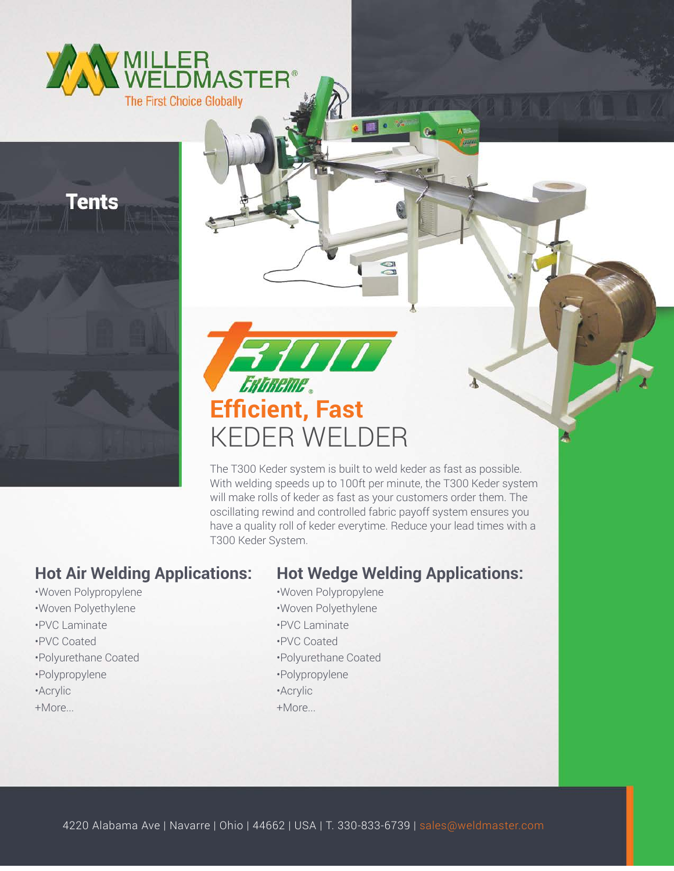



The T300 Keder system is built to weld keder as fast as possible. With welding speeds up to 100ft per minute, the T300 Keder system will make rolls of keder as fast as your customers order them. The oscillating rewind and controlled fabric payoff system ensures you have a quality roll of keder everytime. Reduce your lead times with a T300 Keder System.

 $\blacksquare$   $\blacksquare$ 

## **Hot Air Welding Applications:**

•Woven Polypropylene

Tents

- •Woven Polyethylene
- •PVC Laminate
- •PVC Coated
- •Polyurethane Coated
- •Polypropylene
- •Acrylic
- +More...

## **Hot Wedge Welding Applications:**

- •Woven Polypropylene
- •Woven Polyethylene
- •PVC Laminate
- •PVC Coated
- •Polyurethane Coated
- •Polypropylene
- •Acrylic
- +More...